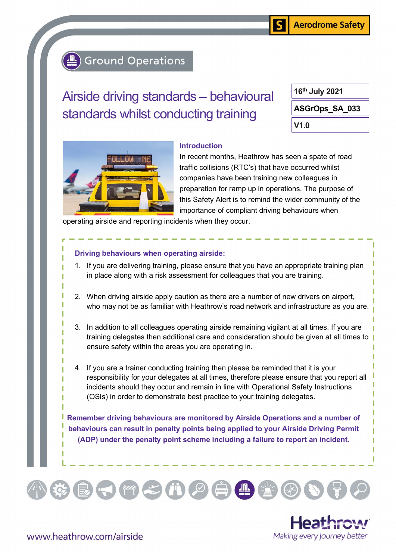# **Ground Operations**

# Airside driving standards – behavioural standards whilst conducting training

V1.0 ASGrOps\_SA\_033 16th July 2021



#### Introduction

In recent months, Heathrow has seen a spate of road traffic collisions (RTC's) that have occurred whilst companies have been training new colleagues in preparation for ramp up in operations. The purpose of this Safety Alert is to remind the wider community of the importance of compliant driving behaviours when

S

operating airside and reporting incidents when they occur.

## Driving behaviours when operating airside:

- 1. If you are delivering training, please ensure that you have an appropriate training plan in place along with a risk assessment for colleagues that you are training.
- 2. When driving airside apply caution as there are a number of new drivers on airport, who may not be as familiar with Heathrow's road network and infrastructure as you are.
- 3. In addition to all colleagues operating airside remaining vigilant at all times. If you are training delegates then additional care and consideration should be given at all times to ensure safety within the areas you are operating in.
- 4. If you are a trainer conducting training then please be reminded that it is your responsibility for your delegates at all times, therefore please ensure that you report all incidents should they occur and remain in line with Operational Safety Instructions (OSIs) in order to demonstrate best practice to your training delegates.

Remember driving behaviours are monitored by Airside Operations and a number of behaviours can result in penalty points being applied to your Airside Driving Permit (ADP) under the penalty point scheme including a failure to report an incident.

 $\left(\begin{array}{c}\begin{array}{c}\begin{array}{c}\bullet\\\bullet\end{array}\end{array}\right)\left(\begin{array}{c}\begin{array}{c}\begin{array}{c}\bullet\\\mathbb{R}\end{array}\end{array}\right)\left(\begin{array}{c}\begin{array}{c}\bullet\\\mathbb{R}\end{array}\right)\\ \begin{array}{c}\bullet\\\mathbb{R}\end{array}\right) \end{array}$ 

 $\mathbb{Z} \times \mathbb{R}$ 



www.heathrow.com/airside